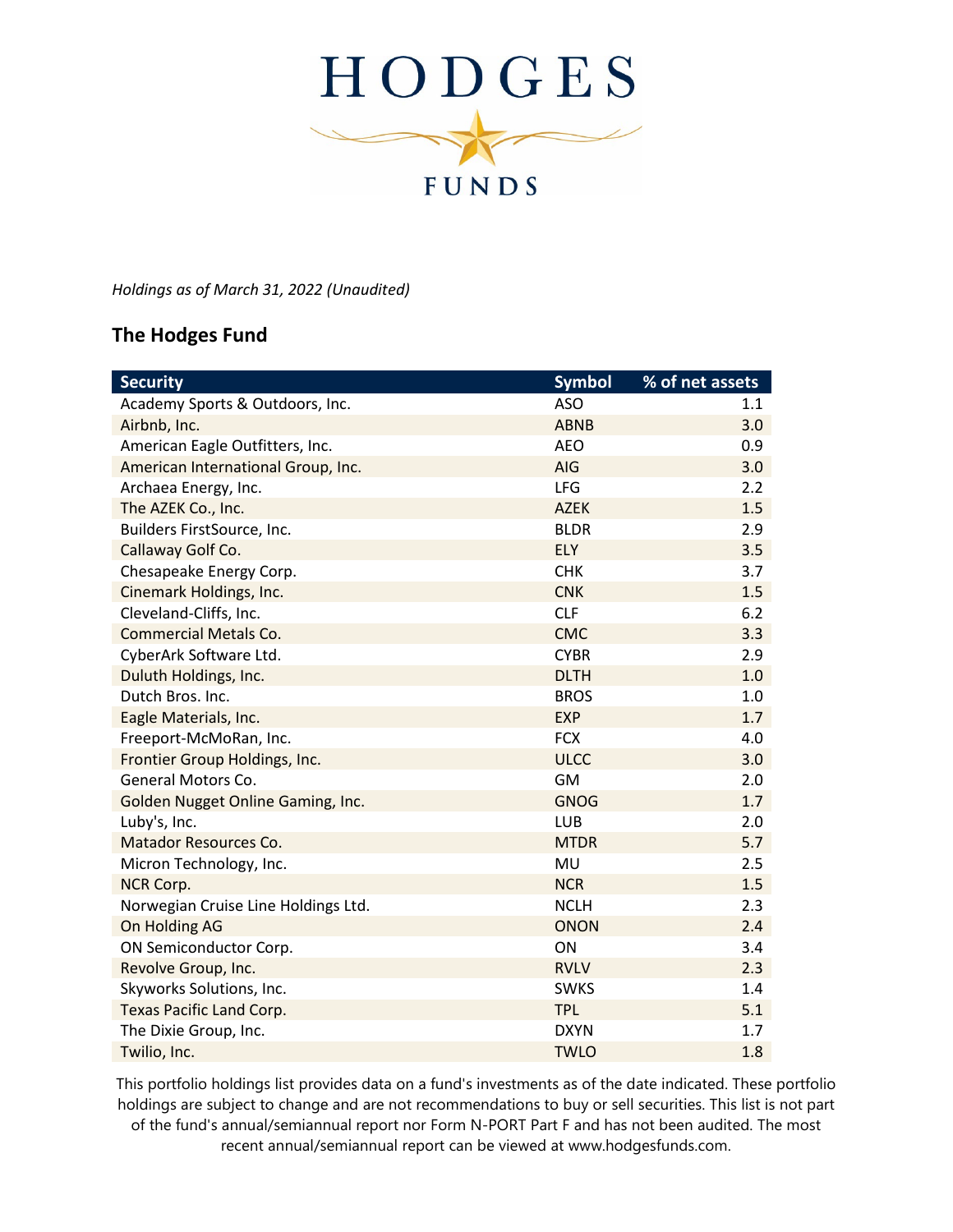

*Holdings as of March 31, 2022 (Unaudited)*

## **The Hodges Fund**

| <b>Security</b>                     | <b>Symbol</b> | % of net assets |
|-------------------------------------|---------------|-----------------|
| Academy Sports & Outdoors, Inc.     | <b>ASO</b>    | 1.1             |
| Airbnb, Inc.                        | <b>ABNB</b>   | 3.0             |
| American Eagle Outfitters, Inc.     | <b>AEO</b>    | 0.9             |
| American International Group, Inc.  | AIG           | 3.0             |
| Archaea Energy, Inc.                | <b>LFG</b>    | 2.2             |
| The AZEK Co., Inc.                  | <b>AZEK</b>   | 1.5             |
| Builders FirstSource, Inc.          | <b>BLDR</b>   | 2.9             |
| Callaway Golf Co.                   | ELY           | 3.5             |
| Chesapeake Energy Corp.             | <b>CHK</b>    | 3.7             |
| Cinemark Holdings, Inc.             | <b>CNK</b>    | 1.5             |
| Cleveland-Cliffs, Inc.              | <b>CLF</b>    | 6.2             |
| <b>Commercial Metals Co.</b>        | <b>CMC</b>    | 3.3             |
| CyberArk Software Ltd.              | <b>CYBR</b>   | 2.9             |
| Duluth Holdings, Inc.               | <b>DLTH</b>   | 1.0             |
| Dutch Bros. Inc.                    | <b>BROS</b>   | 1.0             |
| Eagle Materials, Inc.               | <b>EXP</b>    | 1.7             |
| Freeport-McMoRan, Inc.              | <b>FCX</b>    | 4.0             |
| Frontier Group Holdings, Inc.       | <b>ULCC</b>   | 3.0             |
| General Motors Co.                  | <b>GM</b>     | 2.0             |
| Golden Nugget Online Gaming, Inc.   | <b>GNOG</b>   | 1.7             |
| Luby's, Inc.                        | LUB           | 2.0             |
| Matador Resources Co.               | <b>MTDR</b>   | 5.7             |
| Micron Technology, Inc.             | MU            | 2.5             |
| NCR Corp.                           | <b>NCR</b>    | 1.5             |
| Norwegian Cruise Line Holdings Ltd. | <b>NCLH</b>   | 2.3             |
| On Holding AG                       | <b>ONON</b>   | 2.4             |
| ON Semiconductor Corp.              | ON            | 3.4             |
| Revolve Group, Inc.                 | <b>RVLV</b>   | 2.3             |
| Skyworks Solutions, Inc.            | <b>SWKS</b>   | 1.4             |
| <b>Texas Pacific Land Corp.</b>     | <b>TPL</b>    | 5.1             |
| The Dixie Group, Inc.               | <b>DXYN</b>   | 1.7             |
| Twilio, Inc.                        | <b>TWLO</b>   | 1.8             |

This portfolio holdings list provides data on a fund's investments as of the date indicated. These portfolio holdings are subject to change and are not recommendations to buy or sell securities. This list is not part of the fund's annual/semiannual report nor Form N-PORT Part F and has not been audited. The most recent annual/semiannual report can be viewed at www.hodgesfunds.com.